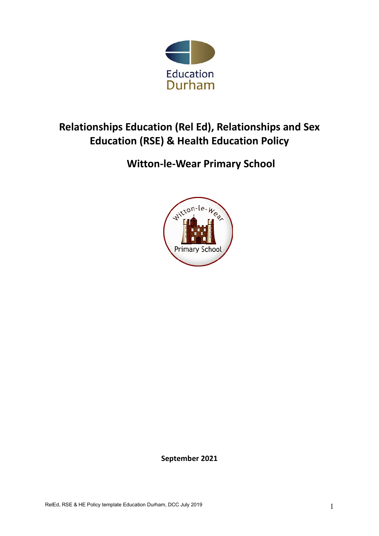

# **Relationships Education (Rel Ed), Relationships and Sex Education (RSE) & Health Education Policy**

# **Witton-le-Wear Primary School**



**September 2021**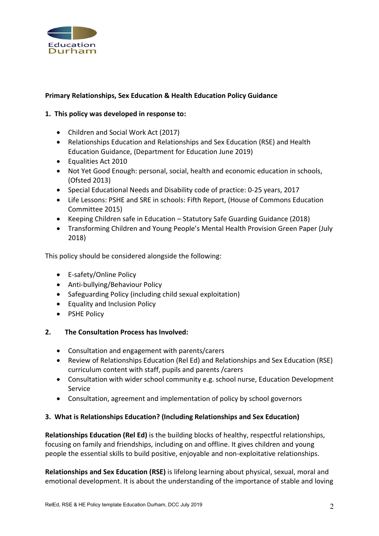

# **Primary Relationships, Sex Education & Health Education Policy Guidance**

#### **1. This policy was developed in response to:**

- Children and Social Work Act (2017)
- Relationships Education and Relationships and Sex Education (RSE) and Health Education Guidance, (Department for Education June 2019)
- Equalities Act 2010
- Not Yet Good Enough: personal, social, health and economic education in schools, (Ofsted 2013)
- Special Educational Needs and Disability code of practice: 0-25 years, 2017
- Life Lessons: PSHE and SRE in schools: Fifth Report, (House of Commons Education Committee 2015)
- Keeping Children safe in Education Statutory Safe Guarding Guidance (2018)
- Transforming Children and Young People's Mental Health Provision Green Paper (July 2018)

This policy should be considered alongside the following:

- E-safety/Online Policy
- Anti-bullying/Behaviour Policy
- Safeguarding Policy (including child sexual exploitation)
- Equality and Inclusion Policy
- PSHE Policy

#### **2. The Consultation Process has Involved:**

- Consultation and engagement with parents/carers
- Review of Relationships Education (Rel Ed) and Relationships and Sex Education (RSE) curriculum content with staff, pupils and parents /carers
- Consultation with wider school community e.g. school nurse, Education Development Service
- Consultation, agreement and implementation of policy by school governors

#### **3. What is Relationships Education? (Including Relationships and Sex Education)**

**Relationships Education (Rel Ed)** is the building blocks of healthy, respectful relationships, focusing on family and friendships, including on and offline. It gives children and young people the essential skills to build positive, enjoyable and non-exploitative relationships.

**Relationships and Sex Education (RSE)** is lifelong learning about physical, sexual, moral and emotional development. It is about the understanding of the importance of stable and loving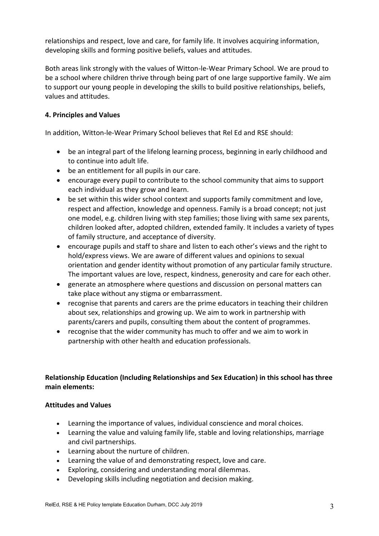relationships and respect, love and care, for family life. It involves acquiring information, developing skills and forming positive beliefs, values and attitudes.

Both areas link strongly with the values of Witton-le-Wear Primary School. We are proud to be a school where children thrive through being part of one large supportive family. We aim to support our young people in developing the skills to build positive relationships, beliefs, values and attitudes.

## **4. Principles and Values**

In addition, Witton-le-Wear Primary School believes that Rel Ed and RSE should:

- be an integral part of the lifelong learning process, beginning in early childhood and to continue into adult life.
- be an entitlement for all pupils in our care.
- encourage every pupil to contribute to the school community that aims to support each individual as they grow and learn.
- be set within this wider school context and supports family commitment and love, respect and affection, knowledge and openness. Family is a broad concept; not just one model, e.g. children living with step families; those living with same sex parents, children looked after, adopted children, extended family. It includes a variety of types of family structure, and acceptance of diversity.
- encourage pupils and staff to share and listen to each other's views and the right to hold/express views. We are aware of different values and opinions to sexual orientation and gender identity without promotion of any particular family structure. The important values are love, respect, kindness, generosity and care for each other.
- generate an atmosphere where questions and discussion on personal matters can take place without any stigma or embarrassment.
- recognise that parents and carers are the prime educators in teaching their children about sex, relationships and growing up. We aim to work in partnership with parents/carers and pupils, consulting them about the content of programmes.
- recognise that the wider community has much to offer and we aim to work in partnership with other health and education professionals.

# **Relationship Education (Including Relationships and Sex Education) in this school has three main elements:**

#### **Attitudes and Values**

- Learning the importance of values, individual conscience and moral choices.
- Learning the value and valuing family life, stable and loving relationships, marriage and civil partnerships.
- Learning about the nurture of children.
- Learning the value of and demonstrating respect, love and care.
- Exploring, considering and understanding moral dilemmas.
- Developing skills including negotiation and decision making.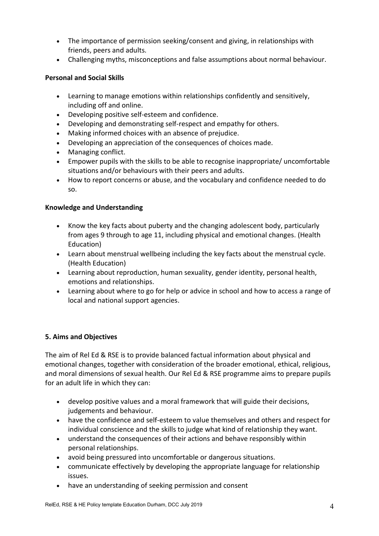- The importance of permission seeking/consent and giving, in relationships with friends, peers and adults.
- Challenging myths, misconceptions and false assumptions about normal behaviour.

## **Personal and Social Skills**

- Learning to manage emotions within relationships confidently and sensitively, including off and online.
- Developing positive self-esteem and confidence.
- Developing and demonstrating self-respect and empathy for others.
- Making informed choices with an absence of prejudice.
- Developing an appreciation of the consequences of choices made.
- Managing conflict.
- Empower pupils with the skills to be able to recognise inappropriate/ uncomfortable situations and/or behaviours with their peers and adults.
- How to report concerns or abuse, and the vocabulary and confidence needed to do so.

## **Knowledge and Understanding**

- Know the key facts about puberty and the changing adolescent body, particularly from ages 9 through to age 11, including physical and emotional changes. (Health Education)
- Learn about menstrual wellbeing including the key facts about the menstrual cycle. (Health Education)
- Learning about reproduction, human sexuality, gender identity, personal health, emotions and relationships.
- Learning about where to go for help or advice in school and how to access a range of local and national support agencies.

# **5. Aims and Objectives**

The aim of Rel Ed & RSE is to provide balanced factual information about physical and emotional changes, together with consideration of the broader emotional, ethical, religious, and moral dimensions of sexual health. Our Rel Ed & RSE programme aims to prepare pupils for an adult life in which they can:

- develop positive values and a moral framework that will guide their decisions, judgements and behaviour.
- have the confidence and self-esteem to value themselves and others and respect for individual conscience and the skills to judge what kind of relationship they want.
- understand the consequences of their actions and behave responsibly within personal relationships.
- avoid being pressured into uncomfortable or dangerous situations.
- communicate effectively by developing the appropriate language for relationship issues.
- have an understanding of seeking permission and consent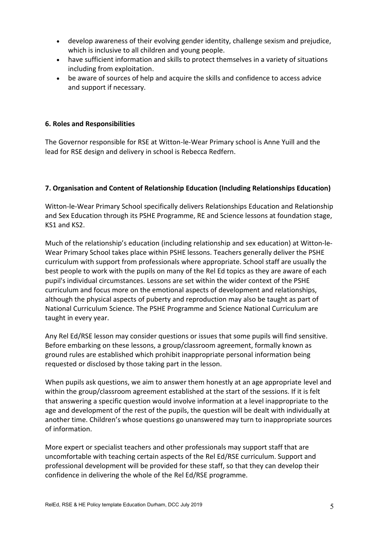- develop awareness of their evolving gender identity, challenge sexism and prejudice, which is inclusive to all children and young people.
- have sufficient information and skills to protect themselves in a variety of situations including from exploitation.
- be aware of sources of help and acquire the skills and confidence to access advice and support if necessary.

### **6. Roles and Responsibilities**

The Governor responsible for RSE at Witton-le-Wear Primary school is Anne Yuill and the lead for RSE design and delivery in school is Rebecca Redfern.

## **7. Organisation and Content of Relationship Education (Including Relationships Education)**

Witton-le-Wear Primary School specifically delivers Relationships Education and Relationship and Sex Education through its PSHE Programme, RE and Science lessons at foundation stage, KS1 and KS2.

Much of the relationship's education (including relationship and sex education) at Witton-le-Wear Primary School takes place within PSHE lessons. Teachers generally deliver the PSHE curriculum with support from professionals where appropriate. School staff are usually the best people to work with the pupils on many of the Rel Ed topics as they are aware of each pupil's individual circumstances. Lessons are set within the wider context of the PSHE curriculum and focus more on the emotional aspects of development and relationships, although the physical aspects of puberty and reproduction may also be taught as part of National Curriculum Science. The PSHE Programme and Science National Curriculum are taught in every year.

Any Rel Ed/RSE lesson may consider questions or issues that some pupils will find sensitive. Before embarking on these lessons, a group/classroom agreement, formally known as ground rules are established which prohibit inappropriate personal information being requested or disclosed by those taking part in the lesson.

When pupils ask questions, we aim to answer them honestly at an age appropriate level and within the group/classroom agreement established at the start of the sessions. If it is felt that answering a specific question would involve information at a level inappropriate to the age and development of the rest of the pupils, the question will be dealt with individually at another time. Children's whose questions go unanswered may turn to inappropriate sources of information.

More expert or specialist teachers and other professionals may support staff that are uncomfortable with teaching certain aspects of the Rel Ed/RSE curriculum. Support and professional development will be provided for these staff, so that they can develop their confidence in delivering the whole of the Rel Ed/RSE programme.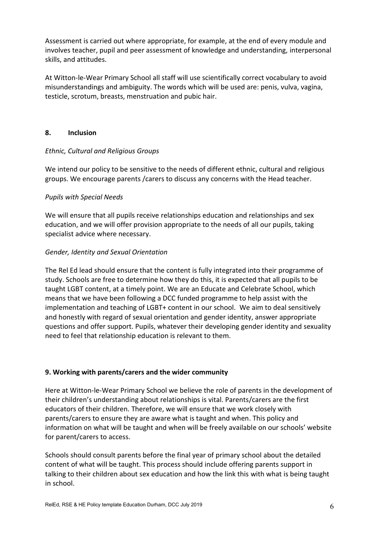Assessment is carried out where appropriate, for example, at the end of every module and involves teacher, pupil and peer assessment of knowledge and understanding, interpersonal skills, and attitudes.

At Witton-le-Wear Primary School all staff will use scientifically correct vocabulary to avoid misunderstandings and ambiguity. The words which will be used are: penis, vulva, vagina, testicle, scrotum, breasts, menstruation and pubic hair.

## **8. Inclusion**

## *Ethnic, Cultural and Religious Groups*

We intend our policy to be sensitive to the needs of different ethnic, cultural and religious groups. We encourage parents /carers to discuss any concerns with the Head teacher.

## *Pupils with Special Needs*

We will ensure that all pupils receive relationships education and relationships and sex education, and we will offer provision appropriate to the needs of all our pupils, taking specialist advice where necessary.

## *Gender, Identity and Sexual Orientation*

The Rel Ed lead should ensure that the content is fully integrated into their programme of study. Schools are free to determine how they do this, it is expected that all pupils to be taught LGBT content, at a timely point. We are an Educate and Celebrate School, which means that we have been following a DCC funded programme to help assist with the implementation and teaching of LGBT+ content in our school. We aim to deal sensitively and honestly with regard of sexual orientation and gender identity, answer appropriate questions and offer support. Pupils, whatever their developing gender identity and sexuality need to feel that relationship education is relevant to them.

# **9. Working with parents/carers and the wider community**

Here at Witton-le-Wear Primary School we believe the role of parents in the development of their children's understanding about relationships is vital. Parents/carers are the first educators of their children. Therefore, we will ensure that we work closely with parents/carers to ensure they are aware what is taught and when. This policy and information on what will be taught and when will be freely available on our schools' website for parent/carers to access.

Schools should consult parents before the final year of primary school about the detailed content of what will be taught. This process should include offering parents support in talking to their children about sex education and how the link this with what is being taught in school.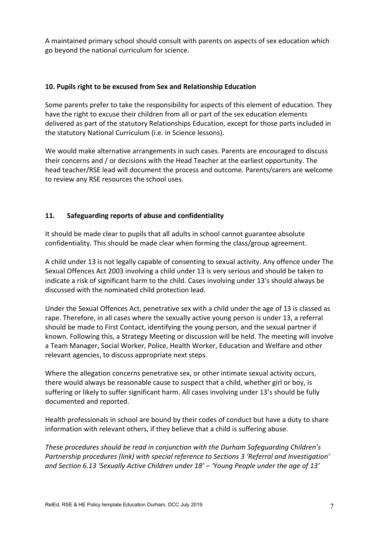A maintained primary school should consult with parents on aspects of sex education which go beyond the national curriculum for science.

## **10. Pupils right to be excused from Sex and Relationship Education**

Some parents prefer to take the responsibility for aspects of this element of education. They have the right to excuse their children from all or part of the sex education elements delivered as part of the statutory Relationships Education, except for those parts included in the statutory National Curriculum (i.e. in Science lessons).

We would make alternative arrangements in such cases. Parents are encouraged to discuss their concerns and / or decisions with the Head Teacher at the earliest opportunity. The head teacher/RSE lead will document the process and outcome. Parents/carers are welcome to review any RSE resources the school uses.

# **11. Safeguarding reports of abuse and confidentiality**

It should be made clear to pupils that all adults in school cannot guarantee absolute confidentiality. This should be made clear when forming the class/group agreement.

A child under 13 is not legally capable of consenting to sexual activity. Any offence under The Sexual Offences Act 2003 involving a child under 13 is very serious and should be taken to indicate a risk of significant harm to the child. Cases involving under 13's should always be discussed with the nominated child protection lead.

Under the Sexual Offences Act, penetrative sex with a child under the age of 13 is classed as rape. Therefore, in all cases where the sexually active young person is under 13, a referral should be made to First Contact, identifying the young person, and the sexual partner if known. Following this, a Strategy Meeting or discussion will be held. The meeting will involve a Team Manager, Social Worker, Police, Health Worker, Education and Welfare and other relevant agencies, to discuss appropriate next steps.

Where the allegation concerns penetrative sex, or other intimate sexual activity occurs, there would always be reasonable cause to suspect that a child, whether girl or boy, is suffering or likely to suffer significant harm. All cases involving under 13's should be fully documented and reported.

Health professionals in school are bound by their codes of conduct but have a duty to share information with relevant others, if they believe that a child is suffering abuse.

*These procedures should be read in conjunction with the Durham Safeguarding Children's Partnership procedures (link) with special reference to Sections 3 'Referral and Investigation' and Section 6.13 'Sexually Active Children under 18' – 'Young People under the age of 13'*